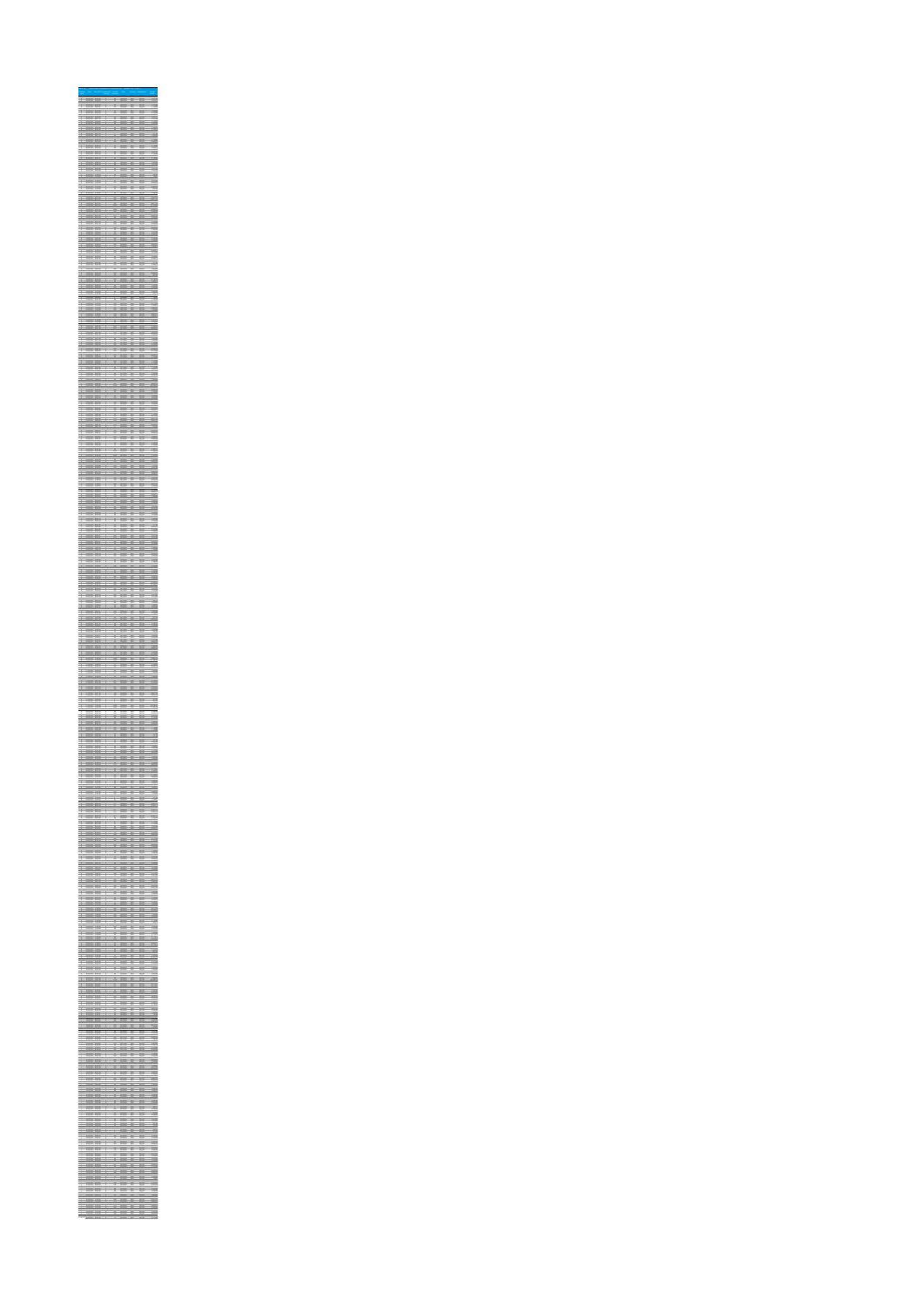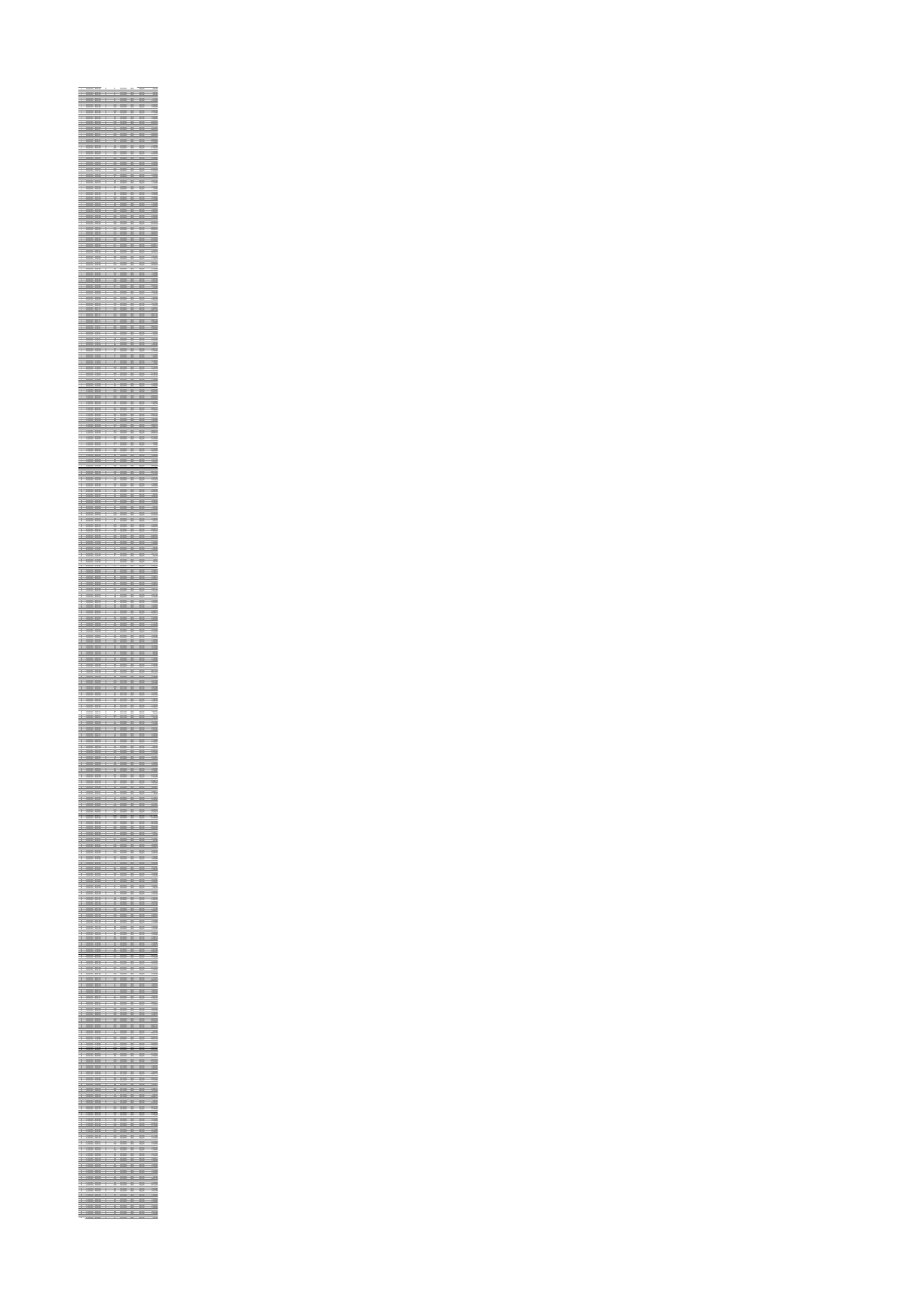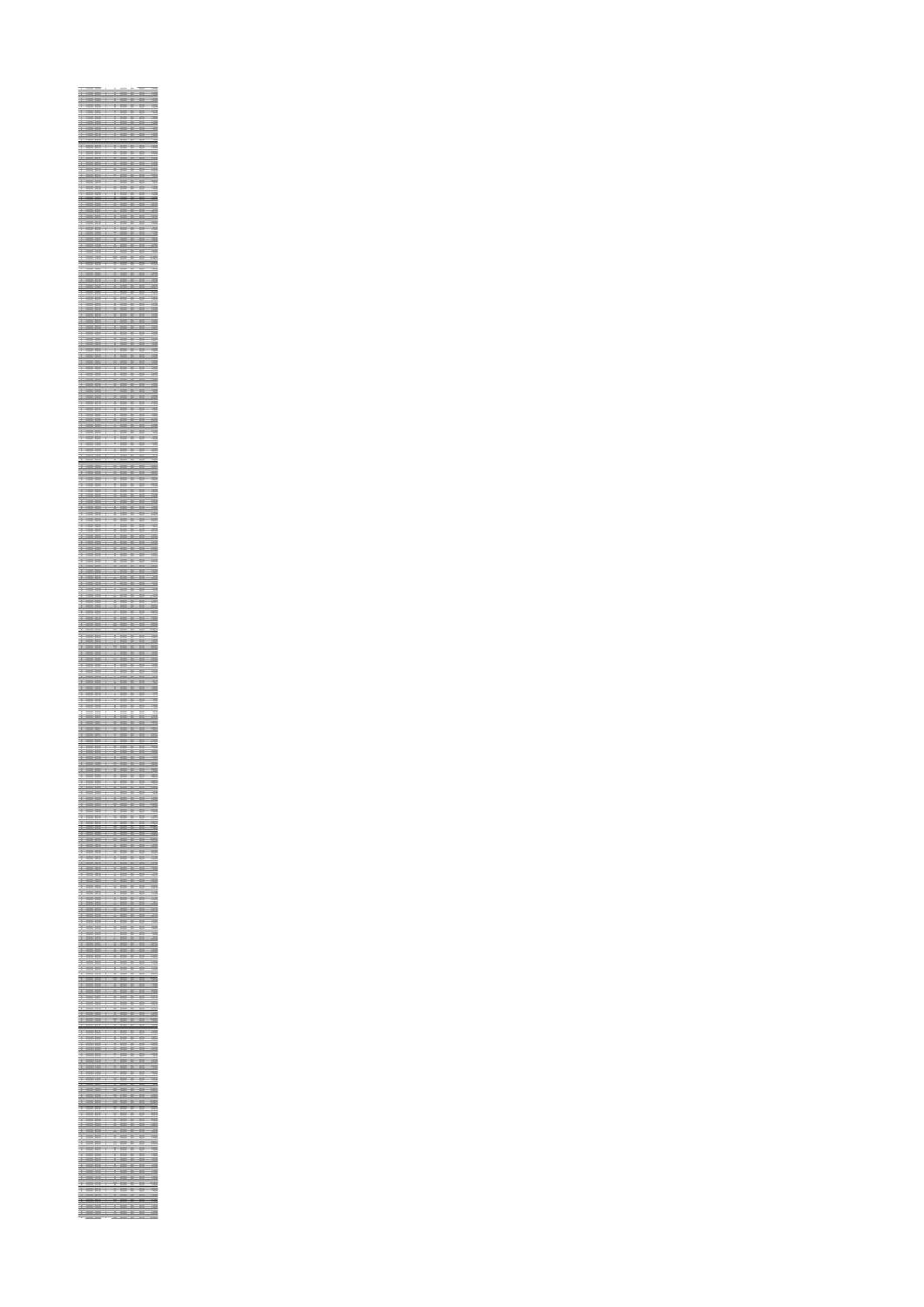